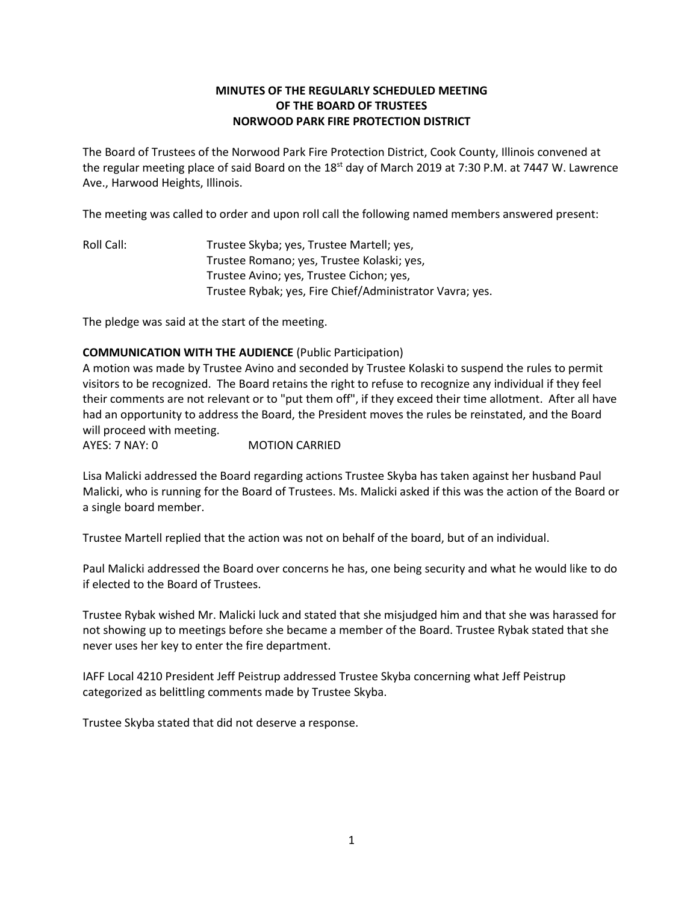# **MINUTES OF THE REGULARLY SCHEDULED MEETING OF THE BOARD OF TRUSTEES NORWOOD PARK FIRE PROTECTION DISTRICT**

The Board of Trustees of the Norwood Park Fire Protection District, Cook County, Illinois convened at the regular meeting place of said Board on the 18<sup>st</sup> day of March 2019 at 7:30 P.M. at 7447 W. Lawrence Ave., Harwood Heights, Illinois.

The meeting was called to order and upon roll call the following named members answered present:

Roll Call: Trustee Skyba; yes, Trustee Martell; yes, Trustee Romano; yes, Trustee Kolaski; yes, Trustee Avino; yes, Trustee Cichon; yes, Trustee Rybak; yes, Fire Chief/Administrator Vavra; yes.

The pledge was said at the start of the meeting.

## **COMMUNICATION WITH THE AUDIENCE** (Public Participation)

A motion was made by Trustee Avino and seconded by Trustee Kolaski to suspend the rules to permit visitors to be recognized. The Board retains the right to refuse to recognize any individual if they feel their comments are not relevant or to "put them off", if they exceed their time allotment. After all have had an opportunity to address the Board, the President moves the rules be reinstated, and the Board will proceed with meeting.

AYES: 7 NAY: 0 MOTION CARRIED

Lisa Malicki addressed the Board regarding actions Trustee Skyba has taken against her husband Paul Malicki, who is running for the Board of Trustees. Ms. Malicki asked if this was the action of the Board or a single board member.

Trustee Martell replied that the action was not on behalf of the board, but of an individual.

Paul Malicki addressed the Board over concerns he has, one being security and what he would like to do if elected to the Board of Trustees.

Trustee Rybak wished Mr. Malicki luck and stated that she misjudged him and that she was harassed for not showing up to meetings before she became a member of the Board. Trustee Rybak stated that she never uses her key to enter the fire department.

IAFF Local 4210 President Jeff Peistrup addressed Trustee Skyba concerning what Jeff Peistrup categorized as belittling comments made by Trustee Skyba.

Trustee Skyba stated that did not deserve a response.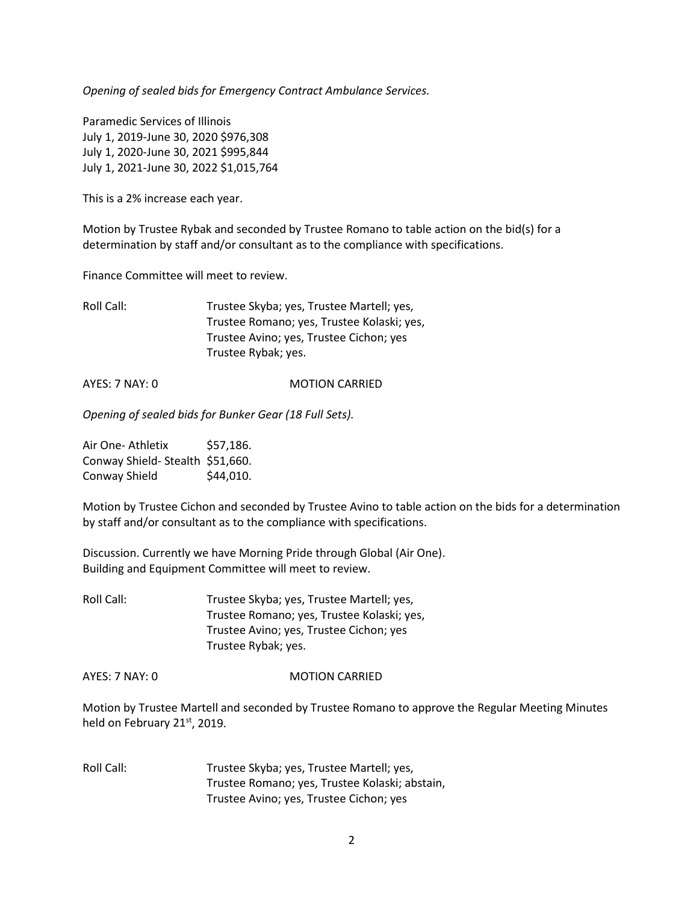*Opening of sealed bids for Emergency Contract Ambulance Services.*

Paramedic Services of Illinois July 1, 2019-June 30, 2020 \$976,308 July 1, 2020-June 30, 2021 \$995,844 July 1, 2021-June 30, 2022 \$1,015,764

This is a 2% increase each year.

Motion by Trustee Rybak and seconded by Trustee Romano to table action on the bid(s) for a determination by staff and/or consultant as to the compliance with specifications.

Finance Committee will meet to review.

Roll Call: Trustee Skyba; yes, Trustee Martell; yes, Trustee Romano; yes, Trustee Kolaski; yes, Trustee Avino; yes, Trustee Cichon; yes Trustee Rybak; yes.

AYES: 7 NAY: 0 MOTION CARRIED

*Opening of sealed bids for Bunker Gear (18 Full Sets).*

Air One- Athletix \$57,186. Conway Shield- Stealth \$51,660. Conway Shield \$44,010.

Motion by Trustee Cichon and seconded by Trustee Avino to table action on the bids for a determination by staff and/or consultant as to the compliance with specifications.

Discussion. Currently we have Morning Pride through Global (Air One). Building and Equipment Committee will meet to review.

Roll Call: Trustee Skyba; yes, Trustee Martell; yes, Trustee Romano; yes, Trustee Kolaski; yes, Trustee Avino; yes, Trustee Cichon; yes Trustee Rybak; yes.

AYES: 7 NAY: 0 MOTION CARRIED

Motion by Trustee Martell and seconded by Trustee Romano to approve the Regular Meeting Minutes held on February 21<sup>st</sup>, 2019.

Roll Call: Trustee Skyba; yes, Trustee Martell; yes, Trustee Romano; yes, Trustee Kolaski; abstain, Trustee Avino; yes, Trustee Cichon; yes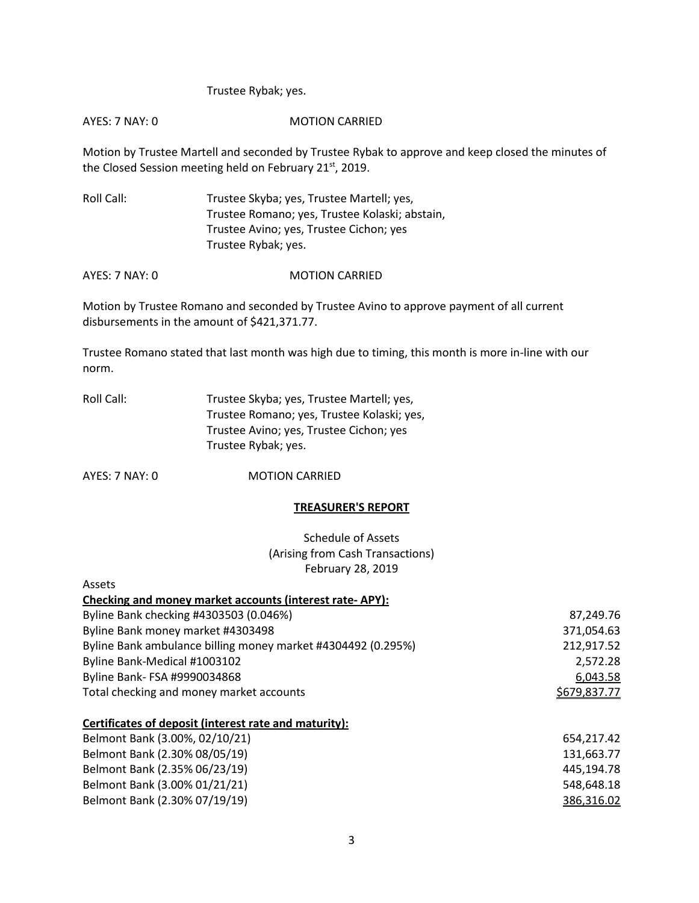### Trustee Rybak; yes.

#### AYES: 7 NAY: 0 MOTION CARRIED

Motion by Trustee Martell and seconded by Trustee Rybak to approve and keep closed the minutes of the Closed Session meeting held on February 21<sup>st</sup>, 2019.

Roll Call: Trustee Skyba; yes, Trustee Martell; yes, Trustee Romano; yes, Trustee Kolaski; abstain, Trustee Avino; yes, Trustee Cichon; yes Trustee Rybak; yes.

AYES: 7 NAY: 0 MOTION CARRIED

Motion by Trustee Romano and seconded by Trustee Avino to approve payment of all current disbursements in the amount of \$421,371.77.

Trustee Romano stated that last month was high due to timing, this month is more in-line with our norm.

| Roll Call: | Trustee Skyba; yes, Trustee Martell; yes,  |
|------------|--------------------------------------------|
|            | Trustee Romano; yes, Trustee Kolaski; yes, |
|            | Trustee Avino; yes, Trustee Cichon; yes    |
|            | Trustee Rybak; yes.                        |

AYES: 7 NAY: 0 MOTION CARRIED

#### **TREASURER'S REPORT**

Schedule of Assets (Arising from Cash Transactions) February 28, 2019

| Assets                                                       |              |
|--------------------------------------------------------------|--------------|
| Checking and money market accounts (interest rate-APY):      |              |
| Byline Bank checking #4303503 (0.046%)                       | 87,249.76    |
| Byline Bank money market #4303498                            | 371,054.63   |
| Byline Bank ambulance billing money market #4304492 (0.295%) | 212,917.52   |
| Byline Bank-Medical #1003102                                 | 2,572.28     |
| Byline Bank- FSA #9990034868                                 | 6,043.58     |
| Total checking and money market accounts                     | \$679,837.77 |
| Certificates of deposit (interest rate and maturity):        |              |
| Belmont Bank (3.00%, 02/10/21)                               | 654,217.42   |
| Belmont Bank (2.30% 08/05/19)                                | 131,663.77   |
| Belmont Bank (2.35% 06/23/19)                                | 445,194.78   |
| Belmont Bank (3.00% 01/21/21)                                | 548,648.18   |
| Belmont Bank (2.30% 07/19/19)                                | 386,316.02   |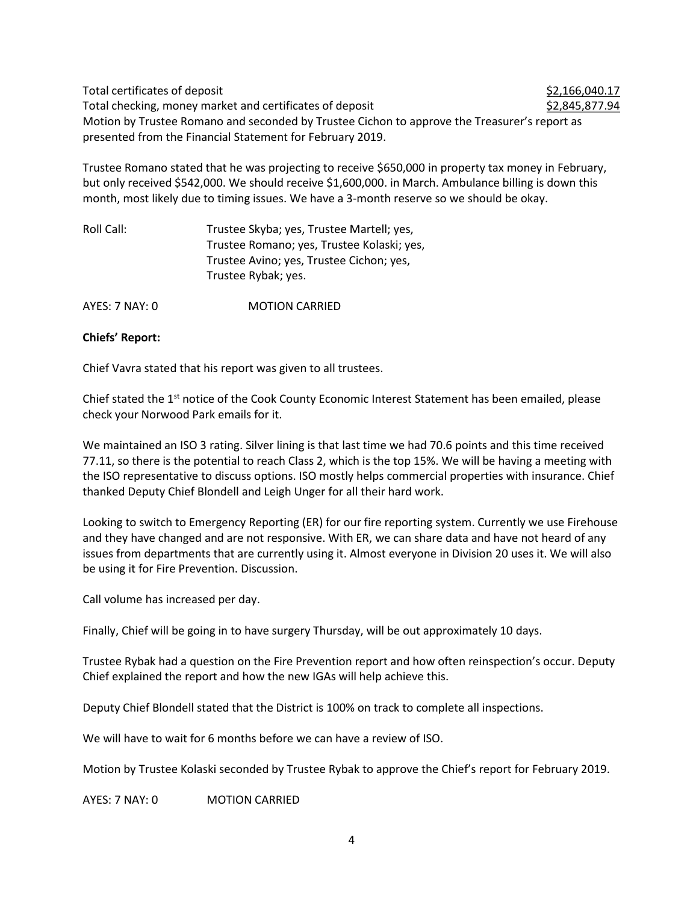Total certificates of deposit  $$2,166,040.17$ Total checking, money market and certificates of deposit  $$2,845,877.94$ Motion by Trustee Romano and seconded by Trustee Cichon to approve the Treasurer's report as presented from the Financial Statement for February 2019.

Trustee Romano stated that he was projecting to receive \$650,000 in property tax money in February, but only received \$542,000. We should receive \$1,600,000. in March. Ambulance billing is down this month, most likely due to timing issues. We have a 3-month reserve so we should be okay.

| Roll Call: | Trustee Skyba; yes, Trustee Martell; yes,  |
|------------|--------------------------------------------|
|            | Trustee Romano; yes, Trustee Kolaski; yes, |
|            | Trustee Avino; yes, Trustee Cichon; yes,   |
|            | Trustee Rybak; yes.                        |
|            |                                            |

AYES: 7 NAY: 0 **MOTION CARRIED** 

### **Chiefs' Report:**

Chief Vavra stated that his report was given to all trustees.

Chief stated the 1<sup>st</sup> notice of the Cook County Economic Interest Statement has been emailed, please check your Norwood Park emails for it.

We maintained an ISO 3 rating. Silver lining is that last time we had 70.6 points and this time received 77.11, so there is the potential to reach Class 2, which is the top 15%. We will be having a meeting with the ISO representative to discuss options. ISO mostly helps commercial properties with insurance. Chief thanked Deputy Chief Blondell and Leigh Unger for all their hard work.

Looking to switch to Emergency Reporting (ER) for our fire reporting system. Currently we use Firehouse and they have changed and are not responsive. With ER, we can share data and have not heard of any issues from departments that are currently using it. Almost everyone in Division 20 uses it. We will also be using it for Fire Prevention. Discussion.

Call volume has increased per day.

Finally, Chief will be going in to have surgery Thursday, will be out approximately 10 days.

Trustee Rybak had a question on the Fire Prevention report and how often reinspection's occur. Deputy Chief explained the report and how the new IGAs will help achieve this.

Deputy Chief Blondell stated that the District is 100% on track to complete all inspections.

We will have to wait for 6 months before we can have a review of ISO.

Motion by Trustee Kolaski seconded by Trustee Rybak to approve the Chief's report for February 2019.

AYES: 7 NAY: 0 MOTION CARRIED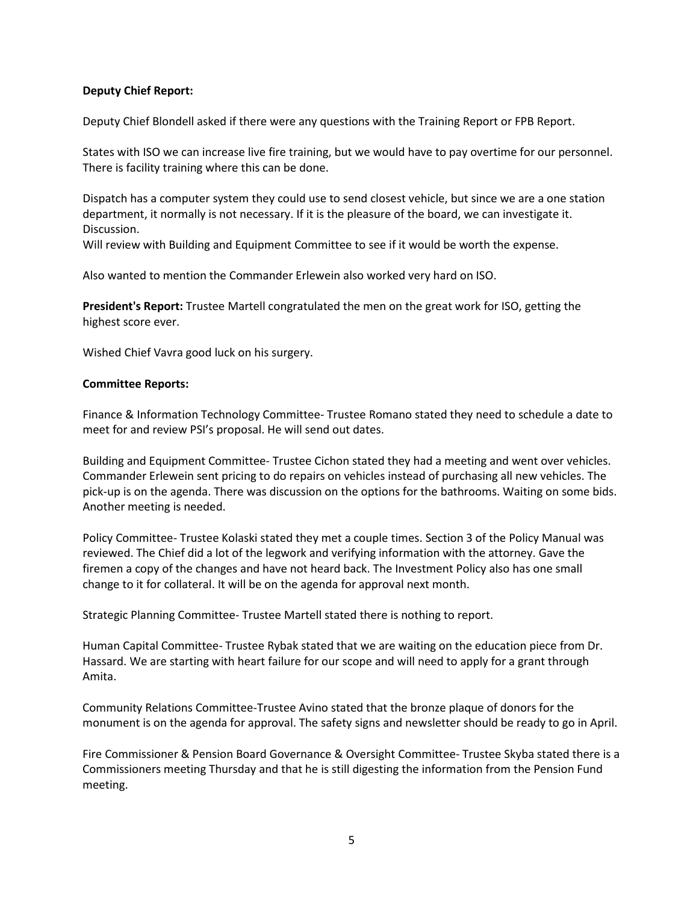## **Deputy Chief Report:**

Deputy Chief Blondell asked if there were any questions with the Training Report or FPB Report.

States with ISO we can increase live fire training, but we would have to pay overtime for our personnel. There is facility training where this can be done.

Dispatch has a computer system they could use to send closest vehicle, but since we are a one station department, it normally is not necessary. If it is the pleasure of the board, we can investigate it. Discussion.

Will review with Building and Equipment Committee to see if it would be worth the expense.

Also wanted to mention the Commander Erlewein also worked very hard on ISO.

**President's Report:** Trustee Martell congratulated the men on the great work for ISO, getting the highest score ever.

Wished Chief Vavra good luck on his surgery.

### **Committee Reports:**

Finance & Information Technology Committee- Trustee Romano stated they need to schedule a date to meet for and review PSI's proposal. He will send out dates.

Building and Equipment Committee- Trustee Cichon stated they had a meeting and went over vehicles. Commander Erlewein sent pricing to do repairs on vehicles instead of purchasing all new vehicles. The pick-up is on the agenda. There was discussion on the options for the bathrooms. Waiting on some bids. Another meeting is needed.

Policy Committee- Trustee Kolaski stated they met a couple times. Section 3 of the Policy Manual was reviewed. The Chief did a lot of the legwork and verifying information with the attorney. Gave the firemen a copy of the changes and have not heard back. The Investment Policy also has one small change to it for collateral. It will be on the agenda for approval next month.

Strategic Planning Committee- Trustee Martell stated there is nothing to report.

Human Capital Committee- Trustee Rybak stated that we are waiting on the education piece from Dr. Hassard. We are starting with heart failure for our scope and will need to apply for a grant through Amita.

Community Relations Committee-Trustee Avino stated that the bronze plaque of donors for the monument is on the agenda for approval. The safety signs and newsletter should be ready to go in April.

Fire Commissioner & Pension Board Governance & Oversight Committee- Trustee Skyba stated there is a Commissioners meeting Thursday and that he is still digesting the information from the Pension Fund meeting.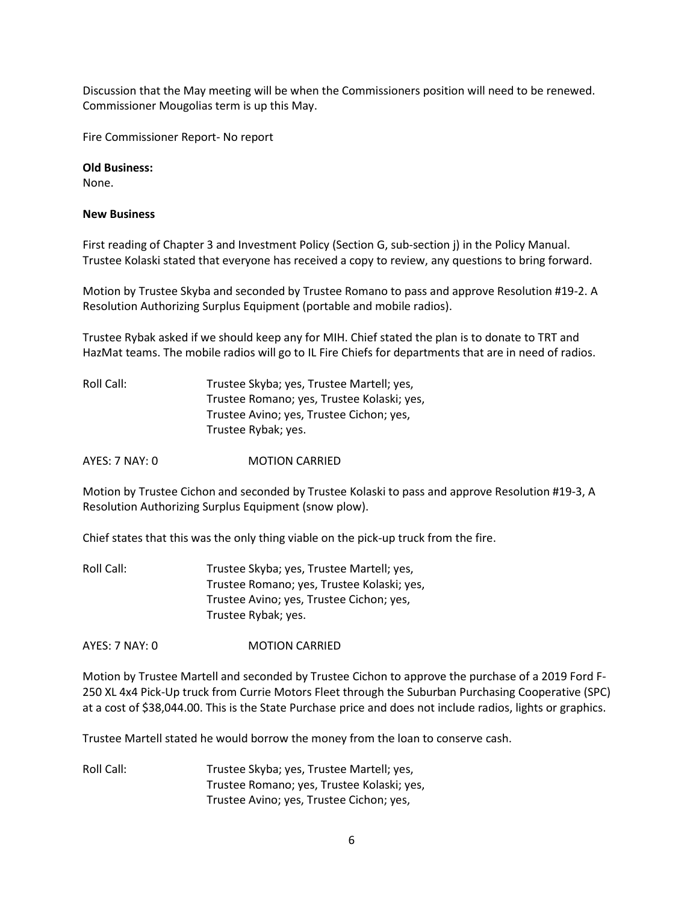Discussion that the May meeting will be when the Commissioners position will need to be renewed. Commissioner Mougolias term is up this May.

Fire Commissioner Report- No report

**Old Business:**  None.

#### **New Business**

First reading of Chapter 3 and Investment Policy (Section G, sub-section j) in the Policy Manual. Trustee Kolaski stated that everyone has received a copy to review, any questions to bring forward.

Motion by Trustee Skyba and seconded by Trustee Romano to pass and approve Resolution #19-2. A Resolution Authorizing Surplus Equipment (portable and mobile radios).

Trustee Rybak asked if we should keep any for MIH. Chief stated the plan is to donate to TRT and HazMat teams. The mobile radios will go to IL Fire Chiefs for departments that are in need of radios.

Roll Call: Trustee Skyba; yes, Trustee Martell; yes, Trustee Romano; yes, Trustee Kolaski; yes, Trustee Avino; yes, Trustee Cichon; yes, Trustee Rybak; yes.

AYES: 7 NAY: 0 **MOTION CARRIED** 

Motion by Trustee Cichon and seconded by Trustee Kolaski to pass and approve Resolution #19-3, A Resolution Authorizing Surplus Equipment (snow plow).

Chief states that this was the only thing viable on the pick-up truck from the fire.

Roll Call: Trustee Skyba; yes, Trustee Martell; yes, Trustee Romano; yes, Trustee Kolaski; yes, Trustee Avino; yes, Trustee Cichon; yes, Trustee Rybak; yes.

AYES: 7 NAY: 0 MOTION CARRIED

Motion by Trustee Martell and seconded by Trustee Cichon to approve the purchase of a 2019 Ford F-250 XL 4x4 Pick-Up truck from Currie Motors Fleet through the Suburban Purchasing Cooperative (SPC) at a cost of \$38,044.00. This is the State Purchase price and does not include radios, lights or graphics.

Trustee Martell stated he would borrow the money from the loan to conserve cash.

Roll Call: Trustee Skyba; yes, Trustee Martell; yes, Trustee Romano; yes, Trustee Kolaski; yes, Trustee Avino; yes, Trustee Cichon; yes,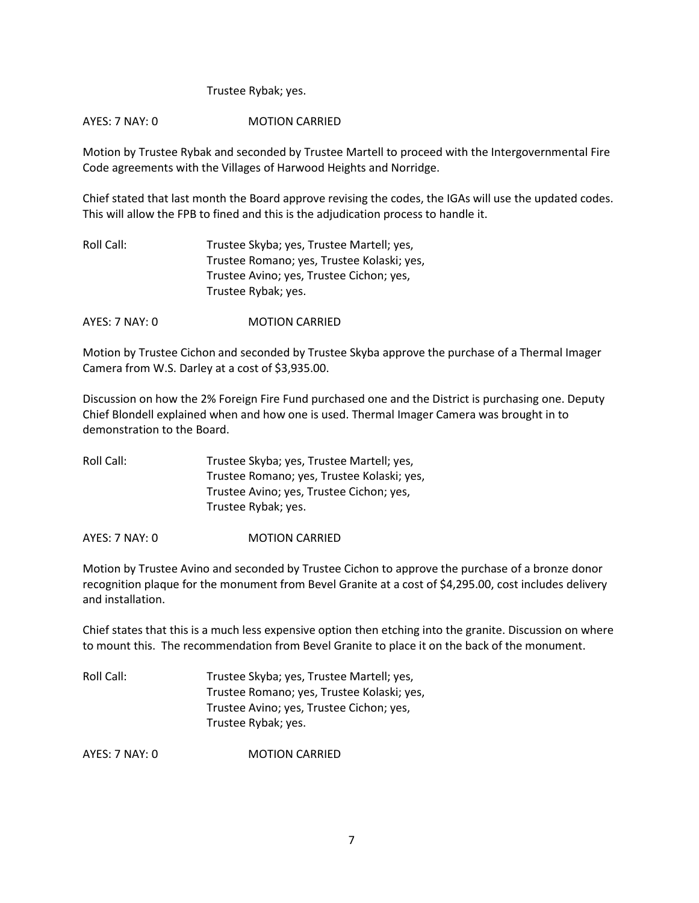### Trustee Rybak; yes.

### AYES: 7 NAY: 0 MOTION CARRIED

Motion by Trustee Rybak and seconded by Trustee Martell to proceed with the Intergovernmental Fire Code agreements with the Villages of Harwood Heights and Norridge.

Chief stated that last month the Board approve revising the codes, the IGAs will use the updated codes. This will allow the FPB to fined and this is the adjudication process to handle it.

| Roll Call: | Trustee Skyba; yes, Trustee Martell; yes,  |
|------------|--------------------------------------------|
|            | Trustee Romano; yes, Trustee Kolaski; yes, |
|            | Trustee Avino; yes, Trustee Cichon; yes,   |
|            | Trustee Rybak; yes.                        |

AYES: 7 NAY: 0 MOTION CARRIED

Motion by Trustee Cichon and seconded by Trustee Skyba approve the purchase of a Thermal Imager Camera from W.S. Darley at a cost of \$3,935.00.

Discussion on how the 2% Foreign Fire Fund purchased one and the District is purchasing one. Deputy Chief Blondell explained when and how one is used. Thermal Imager Camera was brought in to demonstration to the Board.

| Roll Call: | Trustee Skyba; yes, Trustee Martell; yes,  |
|------------|--------------------------------------------|
|            | Trustee Romano; yes, Trustee Kolaski; yes, |
|            | Trustee Avino; yes, Trustee Cichon; yes,   |
|            | Trustee Rybak; yes.                        |

AYES: 7 NAY: 0 MOTION CARRIED

Motion by Trustee Avino and seconded by Trustee Cichon to approve the purchase of a bronze donor recognition plaque for the monument from Bevel Granite at a cost of \$4,295.00, cost includes delivery and installation.

Chief states that this is a much less expensive option then etching into the granite. Discussion on where to mount this. The recommendation from Bevel Granite to place it on the back of the monument.

| Roll Call: | Trustee Skyba; yes, Trustee Martell; yes,  |
|------------|--------------------------------------------|
|            | Trustee Romano; yes, Trustee Kolaski; yes, |
|            | Trustee Avino; yes, Trustee Cichon; yes,   |
|            | Trustee Rybak; yes.                        |

AYES: 7 NAY: 0 MOTION CARRIED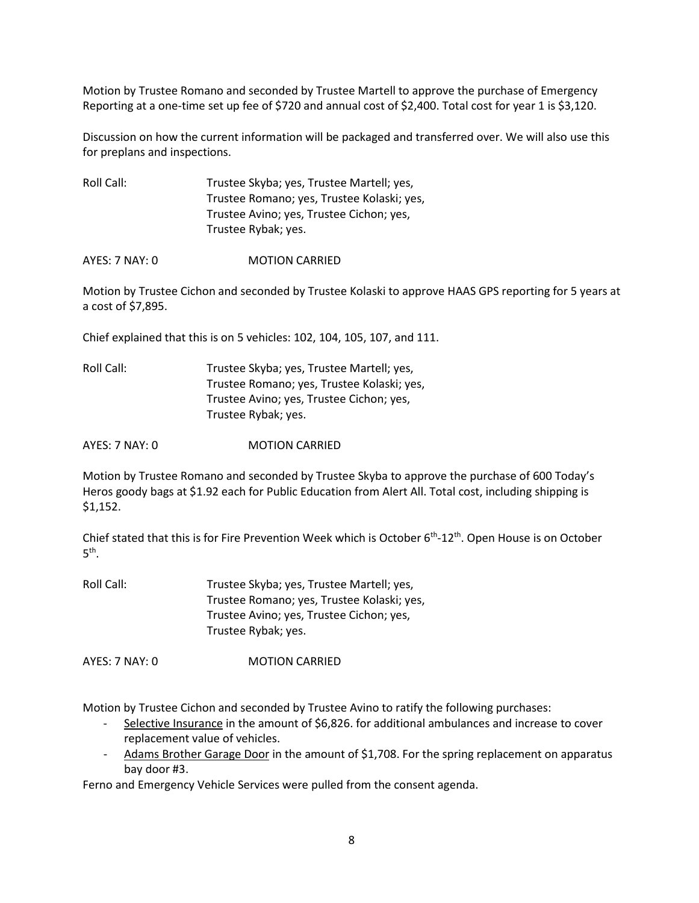Motion by Trustee Romano and seconded by Trustee Martell to approve the purchase of Emergency Reporting at a one-time set up fee of \$720 and annual cost of \$2,400. Total cost for year 1 is \$3,120.

Discussion on how the current information will be packaged and transferred over. We will also use this for preplans and inspections.

Roll Call: Trustee Skyba; yes, Trustee Martell; yes, Trustee Romano; yes, Trustee Kolaski; yes, Trustee Avino; yes, Trustee Cichon; yes, Trustee Rybak; yes.

AYES: 7 NAY: 0 MOTION CARRIED

Motion by Trustee Cichon and seconded by Trustee Kolaski to approve HAAS GPS reporting for 5 years at a cost of \$7,895.

Chief explained that this is on 5 vehicles: 102, 104, 105, 107, and 111.

| Roll Call: | Trustee Skyba; yes, Trustee Martell; yes,  |
|------------|--------------------------------------------|
|            | Trustee Romano; yes, Trustee Kolaski; yes, |
|            | Trustee Avino; yes, Trustee Cichon; yes,   |
|            | Trustee Rybak; yes.                        |

AYES: 7 NAY: 0 MOTION CARRIED

Motion by Trustee Romano and seconded by Trustee Skyba to approve the purchase of 600 Today's Heros goody bags at \$1.92 each for Public Education from Alert All. Total cost, including shipping is \$1,152.

Chief stated that this is for Fire Prevention Week which is October 6<sup>th</sup>-12<sup>th</sup>. Open House is on October  $5^{\text{th}}$ .

Roll Call: Trustee Skyba; yes, Trustee Martell; yes, Trustee Romano; yes, Trustee Kolaski; yes, Trustee Avino; yes, Trustee Cichon; yes, Trustee Rybak; yes.

AYES: 7 NAY: 0 MOTION CARRIED

Motion by Trustee Cichon and seconded by Trustee Avino to ratify the following purchases:

- Selective Insurance in the amount of \$6,826. for additional ambulances and increase to cover replacement value of vehicles.
- Adams Brother Garage Door in the amount of \$1,708. For the spring replacement on apparatus bay door #3.

Ferno and Emergency Vehicle Services were pulled from the consent agenda.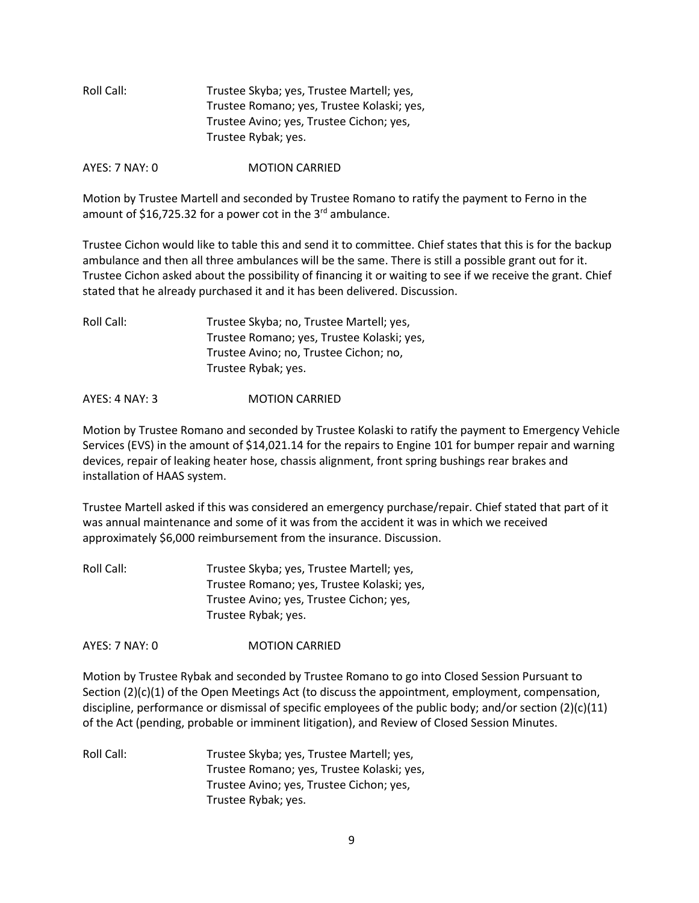| Roll Call: | Trustee Skyba; yes, Trustee Martell; yes,  |
|------------|--------------------------------------------|
|            | Trustee Romano; yes, Trustee Kolaski; yes, |
|            | Trustee Avino; yes, Trustee Cichon; yes,   |
|            | Trustee Rybak; yes.                        |
|            |                                            |

AYES: 7 NAY: 0 MOTION CARRIED

Motion by Trustee Martell and seconded by Trustee Romano to ratify the payment to Ferno in the amount of \$16,725.32 for a power cot in the 3<sup>rd</sup> ambulance.

Trustee Cichon would like to table this and send it to committee. Chief states that this is for the backup ambulance and then all three ambulances will be the same. There is still a possible grant out for it. Trustee Cichon asked about the possibility of financing it or waiting to see if we receive the grant. Chief stated that he already purchased it and it has been delivered. Discussion.

| Roll Call: | Trustee Skyba; no, Trustee Martell; yes,   |
|------------|--------------------------------------------|
|            | Trustee Romano; yes, Trustee Kolaski; yes, |
|            | Trustee Avino; no, Trustee Cichon; no,     |
|            | Trustee Rybak; yes.                        |

AYES: 4 NAY: 3 MOTION CARRIED

Motion by Trustee Romano and seconded by Trustee Kolaski to ratify the payment to Emergency Vehicle Services (EVS) in the amount of \$14,021.14 for the repairs to Engine 101 for bumper repair and warning devices, repair of leaking heater hose, chassis alignment, front spring bushings rear brakes and installation of HAAS system.

Trustee Martell asked if this was considered an emergency purchase/repair. Chief stated that part of it was annual maintenance and some of it was from the accident it was in which we received approximately \$6,000 reimbursement from the insurance. Discussion.

Roll Call: Trustee Skyba; yes, Trustee Martell; yes, Trustee Romano; yes, Trustee Kolaski; yes, Trustee Avino; yes, Trustee Cichon; yes, Trustee Rybak; yes.

AYES: 7 NAY: 0 MOTION CARRIED

Motion by Trustee Rybak and seconded by Trustee Romano to go into Closed Session Pursuant to Section (2)(c)(1) of the Open Meetings Act (to discuss the appointment, employment, compensation, discipline, performance or dismissal of specific employees of the public body; and/or section (2)(c)(11) of the Act (pending, probable or imminent litigation), and Review of Closed Session Minutes.

Roll Call: Trustee Skyba; yes, Trustee Martell; yes, Trustee Romano; yes, Trustee Kolaski; yes, Trustee Avino; yes, Trustee Cichon; yes, Trustee Rybak; yes.